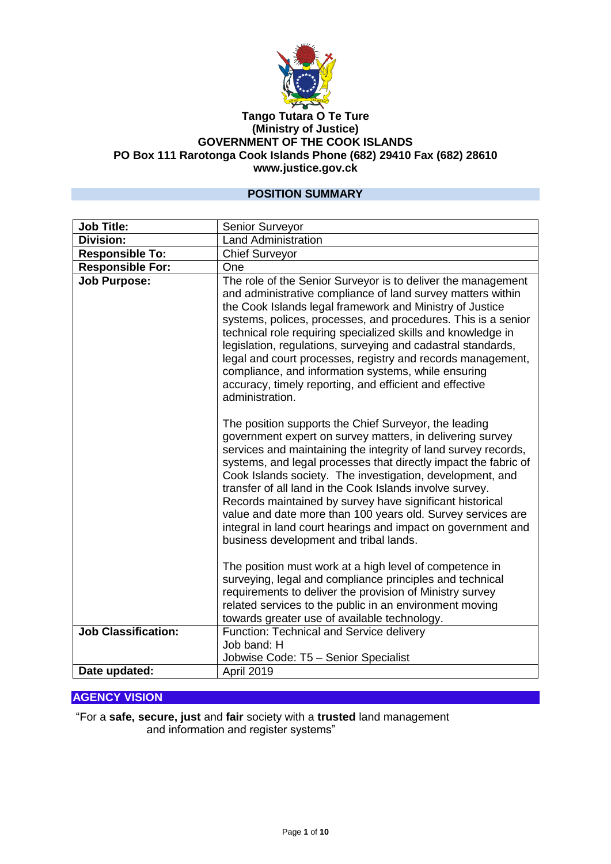

#### **Tango Tutara O Te Ture (Ministry of Justice) GOVERNMENT OF THE COOK ISLANDS PO Box 111 Rarotonga Cook Islands Phone (682) 29410 Fax (682) 28610 www.justice.gov.ck**

### **POSITION SUMMARY**

| <b>Job Title:</b>          | Senior Surveyor                                                                                                                                                                                                                                                                                                                                                                                                                                                                                                                                                                                                       |
|----------------------------|-----------------------------------------------------------------------------------------------------------------------------------------------------------------------------------------------------------------------------------------------------------------------------------------------------------------------------------------------------------------------------------------------------------------------------------------------------------------------------------------------------------------------------------------------------------------------------------------------------------------------|
| <b>Division:</b>           | <b>Land Administration</b>                                                                                                                                                                                                                                                                                                                                                                                                                                                                                                                                                                                            |
| <b>Responsible To:</b>     | <b>Chief Surveyor</b>                                                                                                                                                                                                                                                                                                                                                                                                                                                                                                                                                                                                 |
| <b>Responsible For:</b>    | One                                                                                                                                                                                                                                                                                                                                                                                                                                                                                                                                                                                                                   |
| <b>Job Purpose:</b>        | The role of the Senior Surveyor is to deliver the management<br>and administrative compliance of land survey matters within<br>the Cook Islands legal framework and Ministry of Justice<br>systems, polices, processes, and procedures. This is a senior<br>technical role requiring specialized skills and knowledge in<br>legislation, regulations, surveying and cadastral standards,<br>legal and court processes, registry and records management,<br>compliance, and information systems, while ensuring<br>accuracy, timely reporting, and efficient and effective<br>administration.                          |
|                            | The position supports the Chief Surveyor, the leading<br>government expert on survey matters, in delivering survey<br>services and maintaining the integrity of land survey records,<br>systems, and legal processes that directly impact the fabric of<br>Cook Islands society. The investigation, development, and<br>transfer of all land in the Cook Islands involve survey.<br>Records maintained by survey have significant historical<br>value and date more than 100 years old. Survey services are<br>integral in land court hearings and impact on government and<br>business development and tribal lands. |
|                            | The position must work at a high level of competence in<br>surveying, legal and compliance principles and technical<br>requirements to deliver the provision of Ministry survey<br>related services to the public in an environment moving<br>towards greater use of available technology.                                                                                                                                                                                                                                                                                                                            |
| <b>Job Classification:</b> | Function: Technical and Service delivery<br>Job band: H<br>Jobwise Code: T5 - Senior Specialist                                                                                                                                                                                                                                                                                                                                                                                                                                                                                                                       |
| Date updated:              | April 2019                                                                                                                                                                                                                                                                                                                                                                                                                                                                                                                                                                                                            |

### **AGENCY VISION**

"For a **safe, secure, just** and **fair** society with a **trusted** land management and information and register systems"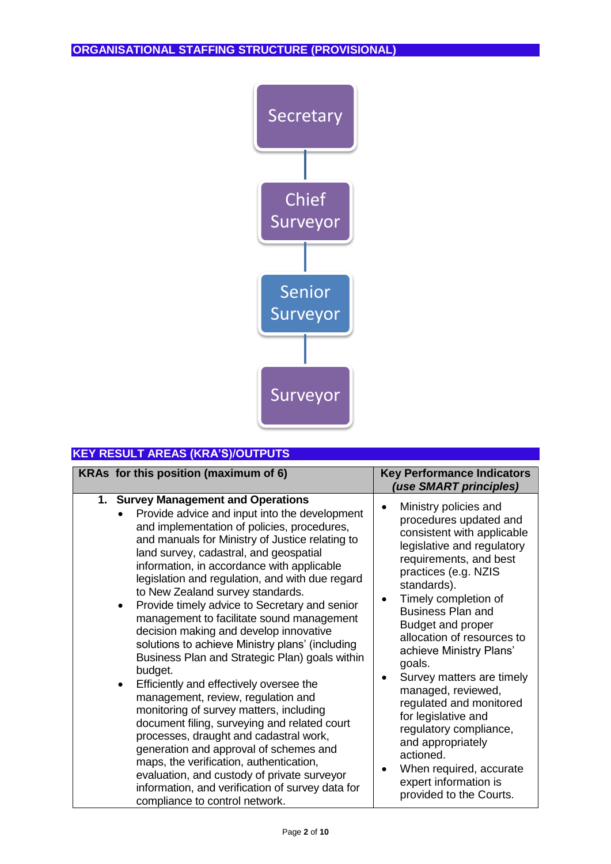

| <b>KEY RESULT AREAS (KRA'S)/OUTPUTS</b>                                                                                                                                                                                                                                                                                                                                                                                                                                                                                                                                                                                                                                                                                                                                                                                                                                                                                                                                                                                                                                                    |                                                                                                                                                                                                                                                                                                                                                                                                                                                                                                                                                                                                    |
|--------------------------------------------------------------------------------------------------------------------------------------------------------------------------------------------------------------------------------------------------------------------------------------------------------------------------------------------------------------------------------------------------------------------------------------------------------------------------------------------------------------------------------------------------------------------------------------------------------------------------------------------------------------------------------------------------------------------------------------------------------------------------------------------------------------------------------------------------------------------------------------------------------------------------------------------------------------------------------------------------------------------------------------------------------------------------------------------|----------------------------------------------------------------------------------------------------------------------------------------------------------------------------------------------------------------------------------------------------------------------------------------------------------------------------------------------------------------------------------------------------------------------------------------------------------------------------------------------------------------------------------------------------------------------------------------------------|
| KRAs for this position (maximum of 6)                                                                                                                                                                                                                                                                                                                                                                                                                                                                                                                                                                                                                                                                                                                                                                                                                                                                                                                                                                                                                                                      | <b>Key Performance Indicators</b><br>(use SMART principles)                                                                                                                                                                                                                                                                                                                                                                                                                                                                                                                                        |
| 1. Survey Management and Operations<br>Provide advice and input into the development<br>and implementation of policies, procedures,<br>and manuals for Ministry of Justice relating to<br>land survey, cadastral, and geospatial<br>information, in accordance with applicable<br>legislation and regulation, and with due regard<br>to New Zealand survey standards.<br>Provide timely advice to Secretary and senior<br>$\bullet$<br>management to facilitate sound management<br>decision making and develop innovative<br>solutions to achieve Ministry plans' (including<br>Business Plan and Strategic Plan) goals within<br>budget.<br>Efficiently and effectively oversee the<br>management, review, regulation and<br>monitoring of survey matters, including<br>document filing, surveying and related court<br>processes, draught and cadastral work,<br>generation and approval of schemes and<br>maps, the verification, authentication,<br>evaluation, and custody of private surveyor<br>information, and verification of survey data for<br>compliance to control network. | Ministry policies and<br>procedures updated and<br>consistent with applicable<br>legislative and regulatory<br>requirements, and best<br>practices (e.g. NZIS<br>standards).<br>Timely completion of<br><b>Business Plan and</b><br>Budget and proper<br>allocation of resources to<br>achieve Ministry Plans'<br>goals.<br>Survey matters are timely<br>$\bullet$<br>managed, reviewed,<br>regulated and monitored<br>for legislative and<br>regulatory compliance,<br>and appropriately<br>actioned.<br>When required, accurate<br>$\bullet$<br>expert information is<br>provided to the Courts. |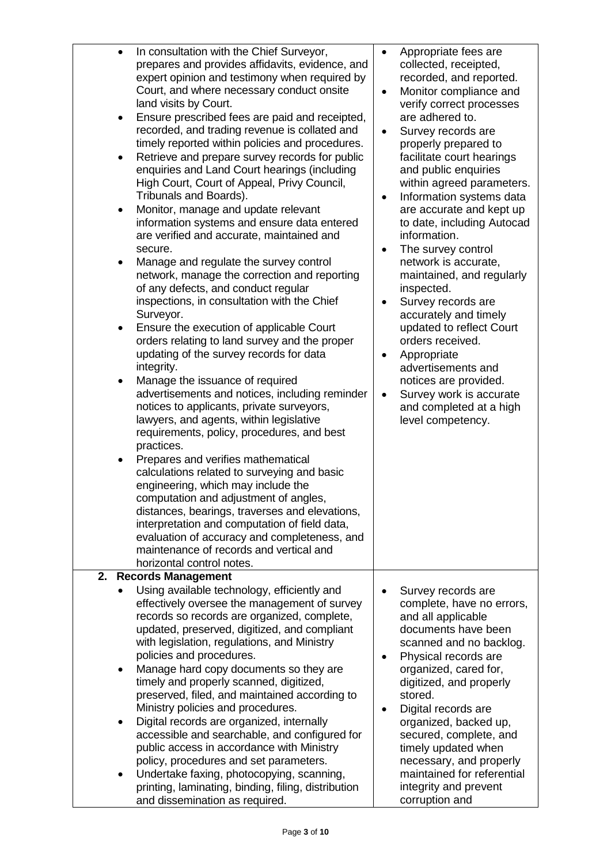| $\bullet$<br>٠ | In consultation with the Chief Surveyor,<br>prepares and provides affidavits, evidence, and<br>expert opinion and testimony when required by<br>Court, and where necessary conduct onsite<br>land visits by Court.<br>Ensure prescribed fees are paid and receipted,<br>recorded, and trading revenue is collated and<br>timely reported within policies and procedures.<br>Retrieve and prepare survey records for public<br>enquiries and Land Court hearings (including<br>High Court, Court of Appeal, Privy Council,<br>Tribunals and Boards).<br>Monitor, manage and update relevant<br>information systems and ensure data entered<br>are verified and accurate, maintained and<br>secure.<br>Manage and regulate the survey control<br>network, manage the correction and reporting<br>of any defects, and conduct regular<br>inspections, in consultation with the Chief<br>Surveyor.<br>Ensure the execution of applicable Court<br>orders relating to land survey and the proper<br>updating of the survey records for data<br>integrity.<br>Manage the issuance of required<br>advertisements and notices, including reminder<br>notices to applicants, private surveyors,<br>lawyers, and agents, within legislative<br>requirements, policy, procedures, and best<br>practices.<br>Prepares and verifies mathematical<br>calculations related to surveying and basic<br>engineering, which may include the<br>computation and adjustment of angles,<br>distances, bearings, traverses and elevations,<br>interpretation and computation of field data,<br>evaluation of accuracy and completeness, and<br>maintenance of records and vertical and<br>horizontal control notes. | $\bullet$<br>$\bullet$<br>$\bullet$<br>$\bullet$<br>$\bullet$<br>$\bullet$<br>$\bullet$ | Appropriate fees are<br>collected, receipted,<br>recorded, and reported.<br>Monitor compliance and<br>verify correct processes<br>are adhered to.<br>Survey records are<br>properly prepared to<br>facilitate court hearings<br>and public enquiries<br>within agreed parameters.<br>Information systems data<br>are accurate and kept up<br>to date, including Autocad<br>information.<br>The survey control<br>network is accurate,<br>maintained, and regularly<br>inspected.<br>Survey records are<br>accurately and timely<br>updated to reflect Court<br>orders received.<br>Appropriate<br>advertisements and<br>notices are provided.<br>Survey work is accurate<br>and completed at a high<br>level competency. |
|----------------|----------------------------------------------------------------------------------------------------------------------------------------------------------------------------------------------------------------------------------------------------------------------------------------------------------------------------------------------------------------------------------------------------------------------------------------------------------------------------------------------------------------------------------------------------------------------------------------------------------------------------------------------------------------------------------------------------------------------------------------------------------------------------------------------------------------------------------------------------------------------------------------------------------------------------------------------------------------------------------------------------------------------------------------------------------------------------------------------------------------------------------------------------------------------------------------------------------------------------------------------------------------------------------------------------------------------------------------------------------------------------------------------------------------------------------------------------------------------------------------------------------------------------------------------------------------------------------------------------------------------------------------------------------------------------------------------|-----------------------------------------------------------------------------------------|--------------------------------------------------------------------------------------------------------------------------------------------------------------------------------------------------------------------------------------------------------------------------------------------------------------------------------------------------------------------------------------------------------------------------------------------------------------------------------------------------------------------------------------------------------------------------------------------------------------------------------------------------------------------------------------------------------------------------|
| 2.             | <b>Records Management</b><br>Using available technology, efficiently and                                                                                                                                                                                                                                                                                                                                                                                                                                                                                                                                                                                                                                                                                                                                                                                                                                                                                                                                                                                                                                                                                                                                                                                                                                                                                                                                                                                                                                                                                                                                                                                                                     |                                                                                         | Survey records are                                                                                                                                                                                                                                                                                                                                                                                                                                                                                                                                                                                                                                                                                                       |
|                | effectively oversee the management of survey<br>records so records are organized, complete,<br>updated, preserved, digitized, and compliant<br>with legislation, regulations, and Ministry<br>policies and procedures.<br>Manage hard copy documents so they are<br>timely and properly scanned, digitized,<br>preserved, filed, and maintained according to<br>Ministry policies and procedures.<br>Digital records are organized, internally<br>accessible and searchable, and configured for<br>public access in accordance with Ministry<br>policy, procedures and set parameters.<br>Undertake faxing, photocopying, scanning,                                                                                                                                                                                                                                                                                                                                                                                                                                                                                                                                                                                                                                                                                                                                                                                                                                                                                                                                                                                                                                                          | $\bullet$<br>$\bullet$                                                                  | complete, have no errors,<br>and all applicable<br>documents have been<br>scanned and no backlog.<br>Physical records are<br>organized, cared for,<br>digitized, and properly<br>stored.<br>Digital records are<br>organized, backed up,<br>secured, complete, and<br>timely updated when<br>necessary, and properly<br>maintained for referential                                                                                                                                                                                                                                                                                                                                                                       |
|                | printing, laminating, binding, filing, distribution<br>and dissemination as required.                                                                                                                                                                                                                                                                                                                                                                                                                                                                                                                                                                                                                                                                                                                                                                                                                                                                                                                                                                                                                                                                                                                                                                                                                                                                                                                                                                                                                                                                                                                                                                                                        |                                                                                         | integrity and prevent<br>corruption and                                                                                                                                                                                                                                                                                                                                                                                                                                                                                                                                                                                                                                                                                  |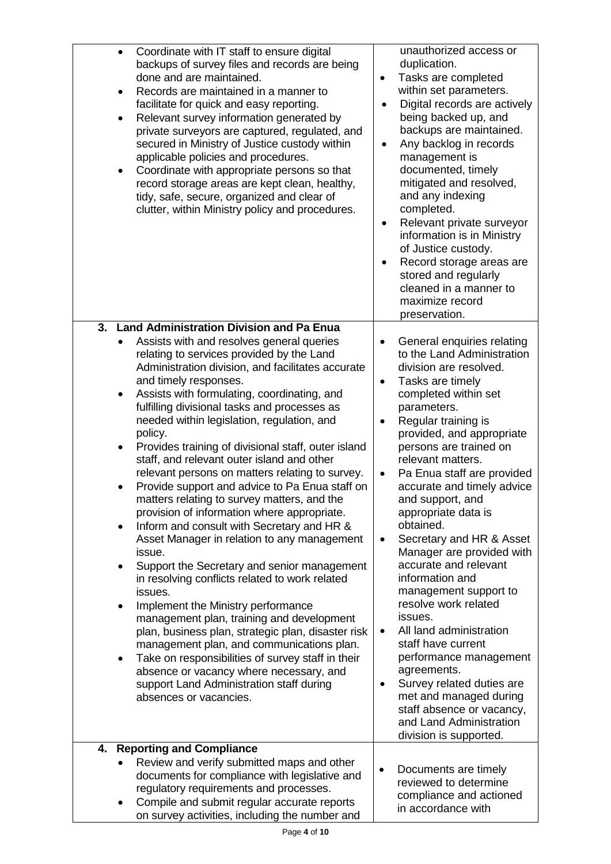| Coordinate with IT staff to ensure digital<br>$\bullet$<br>backups of survey files and records are being<br>done and are maintained.<br>Records are maintained in a manner to<br>$\bullet$<br>facilitate for quick and easy reporting.<br>Relevant survey information generated by<br>$\bullet$<br>private surveyors are captured, regulated, and<br>secured in Ministry of Justice custody within<br>applicable policies and procedures.<br>Coordinate with appropriate persons so that<br>$\bullet$<br>record storage areas are kept clean, healthy,<br>tidy, safe, secure, organized and clear of<br>clutter, within Ministry policy and procedures.                                                                                                                                                                                                                                                                                                                                                                                                                                                                                                                                                                                                                                                                                                                 | unauthorized access or<br>duplication.<br>Tasks are completed<br>$\bullet$<br>within set parameters.<br>Digital records are actively<br>being backed up, and<br>backups are maintained.<br>Any backlog in records<br>$\bullet$<br>management is<br>documented, timely<br>mitigated and resolved,<br>and any indexing<br>completed.<br>Relevant private surveyor<br>information is in Ministry<br>of Justice custody.<br>Record storage areas are<br>stored and regularly<br>cleaned in a manner to<br>maximize record<br>preservation.                                                                                                                                                                                                                                                                                                 |
|-------------------------------------------------------------------------------------------------------------------------------------------------------------------------------------------------------------------------------------------------------------------------------------------------------------------------------------------------------------------------------------------------------------------------------------------------------------------------------------------------------------------------------------------------------------------------------------------------------------------------------------------------------------------------------------------------------------------------------------------------------------------------------------------------------------------------------------------------------------------------------------------------------------------------------------------------------------------------------------------------------------------------------------------------------------------------------------------------------------------------------------------------------------------------------------------------------------------------------------------------------------------------------------------------------------------------------------------------------------------------|----------------------------------------------------------------------------------------------------------------------------------------------------------------------------------------------------------------------------------------------------------------------------------------------------------------------------------------------------------------------------------------------------------------------------------------------------------------------------------------------------------------------------------------------------------------------------------------------------------------------------------------------------------------------------------------------------------------------------------------------------------------------------------------------------------------------------------------|
| <b>Land Administration Division and Pa Enua</b><br>3.<br>Assists with and resolves general queries<br>$\bullet$<br>relating to services provided by the Land<br>Administration division, and facilitates accurate<br>and timely responses.<br>Assists with formulating, coordinating, and<br>$\bullet$<br>fulfilling divisional tasks and processes as<br>needed within legislation, regulation, and<br>policy.<br>Provides training of divisional staff, outer island<br>$\bullet$<br>staff, and relevant outer island and other<br>relevant persons on matters relating to survey.<br>Provide support and advice to Pa Enua staff on<br>matters relating to survey matters, and the<br>provision of information where appropriate.<br>Inform and consult with Secretary and HR &<br>$\bullet$<br>Asset Manager in relation to any management<br>issue.<br>Support the Secretary and senior management<br>$\bullet$<br>in resolving conflicts related to work related<br>issues.<br>Implement the Ministry performance<br>$\bullet$<br>management plan, training and development<br>plan, business plan, strategic plan, disaster risk<br>management plan, and communications plan.<br>Take on responsibilities of survey staff in their<br>$\bullet$<br>absence or vacancy where necessary, and<br>support Land Administration staff during<br>absences or vacancies. | General enquiries relating<br>$\bullet$<br>to the Land Administration<br>division are resolved.<br>Tasks are timely<br>٠<br>completed within set<br>parameters.<br>Regular training is<br>$\bullet$<br>provided, and appropriate<br>persons are trained on<br>relevant matters.<br>Pa Enua staff are provided<br>accurate and timely advice<br>and support, and<br>appropriate data is<br>obtained.<br>Secretary and HR & Asset<br>$\bullet$<br>Manager are provided with<br>accurate and relevant<br>information and<br>management support to<br>resolve work related<br>issues.<br>All land administration<br>$\bullet$<br>staff have current<br>performance management<br>agreements.<br>Survey related duties are<br>٠<br>met and managed during<br>staff absence or vacancy,<br>and Land Administration<br>division is supported. |
| <b>Reporting and Compliance</b><br>4.<br>Review and verify submitted maps and other<br>documents for compliance with legislative and<br>regulatory requirements and processes.<br>Compile and submit regular accurate reports<br>$\bullet$<br>on survey activities, including the number and                                                                                                                                                                                                                                                                                                                                                                                                                                                                                                                                                                                                                                                                                                                                                                                                                                                                                                                                                                                                                                                                            | Documents are timely<br>$\bullet$<br>reviewed to determine<br>compliance and actioned<br>in accordance with                                                                                                                                                                                                                                                                                                                                                                                                                                                                                                                                                                                                                                                                                                                            |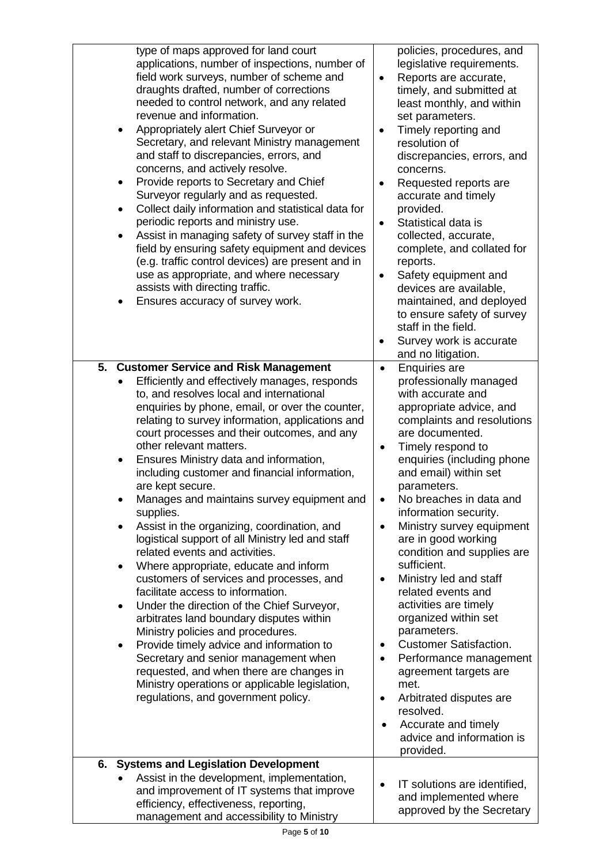| type of maps approved for land court<br>applications, number of inspections, number of<br>field work surveys, number of scheme and<br>draughts drafted, number of corrections<br>needed to control network, and any related<br>revenue and information.<br>Appropriately alert Chief Surveyor or<br>Secretary, and relevant Ministry management<br>and staff to discrepancies, errors, and<br>concerns, and actively resolve.<br>Provide reports to Secretary and Chief<br>$\bullet$<br>Surveyor regularly and as requested.<br>Collect daily information and statistical data for<br>$\bullet$<br>periodic reports and ministry use.<br>Assist in managing safety of survey staff in the<br>field by ensuring safety equipment and devices<br>(e.g. traffic control devices) are present and in<br>use as appropriate, and where necessary<br>assists with directing traffic.<br>Ensures accuracy of survey work.                                                                                                                                                                                                                         | policies, procedures, and<br>legislative requirements.<br>Reports are accurate,<br>$\bullet$<br>timely, and submitted at<br>least monthly, and within<br>set parameters.<br>Timely reporting and<br>$\bullet$<br>resolution of<br>discrepancies, errors, and<br>concerns.<br>Requested reports are<br>٠<br>accurate and timely<br>provided.<br>Statistical data is<br>$\bullet$<br>collected, accurate,<br>complete, and collated for<br>reports.<br>Safety equipment and<br>$\bullet$<br>devices are available,<br>maintained, and deployed<br>to ensure safety of survey<br>staff in the field.<br>Survey work is accurate<br>and no litigation.                                                                                                                                                           |
|--------------------------------------------------------------------------------------------------------------------------------------------------------------------------------------------------------------------------------------------------------------------------------------------------------------------------------------------------------------------------------------------------------------------------------------------------------------------------------------------------------------------------------------------------------------------------------------------------------------------------------------------------------------------------------------------------------------------------------------------------------------------------------------------------------------------------------------------------------------------------------------------------------------------------------------------------------------------------------------------------------------------------------------------------------------------------------------------------------------------------------------------|--------------------------------------------------------------------------------------------------------------------------------------------------------------------------------------------------------------------------------------------------------------------------------------------------------------------------------------------------------------------------------------------------------------------------------------------------------------------------------------------------------------------------------------------------------------------------------------------------------------------------------------------------------------------------------------------------------------------------------------------------------------------------------------------------------------|
| 5.<br><b>Customer Service and Risk Management</b><br>Efficiently and effectively manages, responds<br>to, and resolves local and international<br>enquiries by phone, email, or over the counter,<br>relating to survey information, applications and<br>court processes and their outcomes, and any<br>other relevant matters.<br>Ensures Ministry data and information,<br>٠<br>including customer and financial information,<br>are kept secure.<br>Manages and maintains survey equipment and<br>supplies.<br>Assist in the organizing, coordination, and<br>logistical support of all Ministry led and staff<br>related events and activities.<br>Where appropriate, educate and inform<br>customers of services and processes, and<br>facilitate access to information.<br>Under the direction of the Chief Surveyor,<br>٠<br>arbitrates land boundary disputes within<br>Ministry policies and procedures.<br>Provide timely advice and information to<br>Secretary and senior management when<br>requested, and when there are changes in<br>Ministry operations or applicable legislation,<br>regulations, and government policy. | <b>Enquiries are</b><br>$\bullet$<br>professionally managed<br>with accurate and<br>appropriate advice, and<br>complaints and resolutions<br>are documented.<br>Timely respond to<br>$\bullet$<br>enquiries (including phone<br>and email) within set<br>parameters.<br>No breaches in data and<br>information security.<br>Ministry survey equipment<br>$\bullet$<br>are in good working<br>condition and supplies are<br>sufficient.<br>Ministry led and staff<br>٠<br>related events and<br>activities are timely<br>organized within set<br>parameters.<br><b>Customer Satisfaction.</b><br>$\bullet$<br>Performance management<br>$\bullet$<br>agreement targets are<br>met.<br>Arbitrated disputes are<br>$\bullet$<br>resolved.<br>Accurate and timely<br>٠<br>advice and information is<br>provided. |
| 6. Systems and Legislation Development<br>Assist in the development, implementation,<br>and improvement of IT systems that improve<br>efficiency, effectiveness, reporting,<br>management and accessibility to Ministry                                                                                                                                                                                                                                                                                                                                                                                                                                                                                                                                                                                                                                                                                                                                                                                                                                                                                                                    | IT solutions are identified,<br>and implemented where<br>approved by the Secretary                                                                                                                                                                                                                                                                                                                                                                                                                                                                                                                                                                                                                                                                                                                           |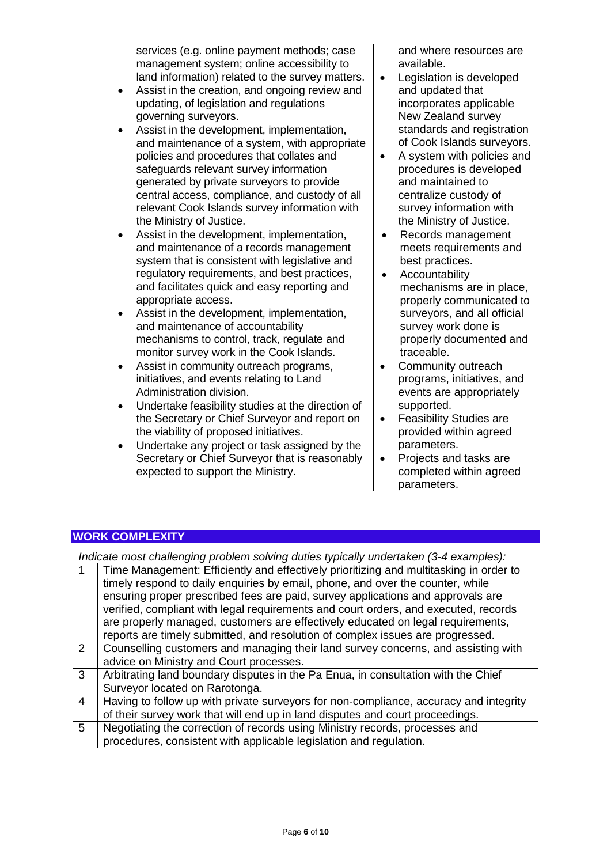services (e.g. online payment methods; case management system; online accessibility to land information) related to the survey matters.

- Assist in the creation, and ongoing review and updating, of legislation and regulations governing surveyors.
- Assist in the development, implementation, and maintenance of a system, with appropriate policies and procedures that collates and safeguards relevant survey information generated by private surveyors to provide central access, compliance, and custody of all relevant Cook Islands survey information with the Ministry of Justice.
- Assist in the development, implementation, and maintenance of a records management system that is consistent with legislative and regulatory requirements, and best practices, and facilitates quick and easy reporting and appropriate access.
- Assist in the development, implementation, and maintenance of accountability mechanisms to control, track, regulate and monitor survey work in the Cook Islands.
- Assist in community outreach programs, initiatives, and events relating to Land Administration division.
- Undertake feasibility studies at the direction of the Secretary or Chief Surveyor and report on the viability of proposed initiatives.
- Undertake any project or task assigned by the Secretary or Chief Surveyor that is reasonably expected to support the Ministry.

and where resources are available.

- Legislation is developed and updated that incorporates applicable New Zealand survey standards and registration of Cook Islands surveyors.
- A system with policies and procedures is developed and maintained to centralize custody of survey information with the Ministry of Justice.
- Records management meets requirements and best practices.
- Accountability mechanisms are in place, properly communicated to surveyors, and all official survey work done is properly documented and traceable.
- Community outreach programs, initiatives, and events are appropriately supported.
- Feasibility Studies are provided within agreed parameters.
	- Projects and tasks are completed within agreed parameters.

### **WORK COMPLEXITY**

|                | Indicate most challenging problem solving duties typically undertaken (3-4 examples):  |
|----------------|----------------------------------------------------------------------------------------|
|                | Time Management: Efficiently and effectively prioritizing and multitasking in order to |
|                | timely respond to daily enquiries by email, phone, and over the counter, while         |
|                | ensuring proper prescribed fees are paid, survey applications and approvals are        |
|                | verified, compliant with legal requirements and court orders, and executed, records    |
|                | are properly managed, customers are effectively educated on legal requirements,        |
|                | reports are timely submitted, and resolution of complex issues are progressed.         |
| $\overline{2}$ | Counselling customers and managing their land survey concerns, and assisting with      |
|                | advice on Ministry and Court processes.                                                |
| 3              | Arbitrating land boundary disputes in the Pa Enua, in consultation with the Chief      |
|                | Surveyor located on Rarotonga.                                                         |
| 4              | Having to follow up with private surveyors for non-compliance, accuracy and integrity  |
|                | of their survey work that will end up in land disputes and court proceedings.          |
| 5              | Negotiating the correction of records using Ministry records, processes and            |
|                | procedures, consistent with applicable legislation and regulation.                     |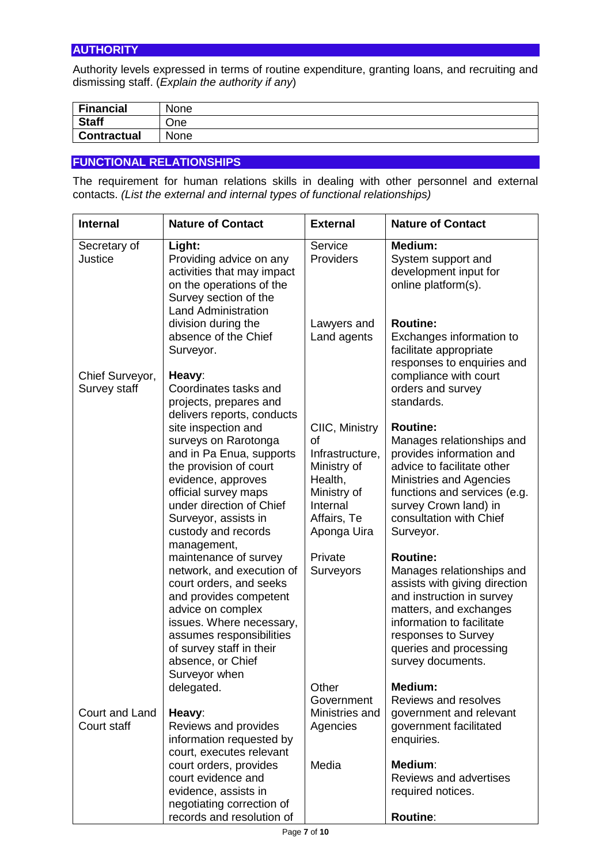Authority levels expressed in terms of routine expenditure, granting loans, and recruiting and dismissing staff. (*Explain the authority if any*)

| <b>Financial</b>   | None |
|--------------------|------|
| <b>Staff</b>       | ⊃ne  |
| <b>Contractual</b> | None |

### **FUNCTIONAL RELATIONSHIPS**

The requirement for human relations skills in dealing with other personnel and external contacts. *(List the external and internal types of functional relationships)*

| <b>Internal</b>                 | <b>Nature of Contact</b>                                                                                                                                                                                                                                              | <b>External</b>                                                                                                            | <b>Nature of Contact</b>                                                                                                                                                                                                                |
|---------------------------------|-----------------------------------------------------------------------------------------------------------------------------------------------------------------------------------------------------------------------------------------------------------------------|----------------------------------------------------------------------------------------------------------------------------|-----------------------------------------------------------------------------------------------------------------------------------------------------------------------------------------------------------------------------------------|
| Secretary of<br>Justice         | Light:<br>Providing advice on any<br>activities that may impact<br>on the operations of the<br>Survey section of the<br><b>Land Administration</b>                                                                                                                    | Service<br>Providers                                                                                                       | <b>Medium:</b><br>System support and<br>development input for<br>online platform(s).                                                                                                                                                    |
|                                 | division during the<br>absence of the Chief<br>Surveyor.                                                                                                                                                                                                              | Lawyers and<br>Land agents                                                                                                 | <b>Routine:</b><br>Exchanges information to<br>facilitate appropriate<br>responses to enquiries and                                                                                                                                     |
| Chief Surveyor,<br>Survey staff | Heavy:<br>Coordinates tasks and<br>projects, prepares and<br>delivers reports, conducts                                                                                                                                                                               |                                                                                                                            | compliance with court<br>orders and survey<br>standards.                                                                                                                                                                                |
|                                 | site inspection and<br>surveys on Rarotonga<br>and in Pa Enua, supports<br>the provision of court<br>evidence, approves<br>official survey maps<br>under direction of Chief<br>Surveyor, assists in<br>custody and records                                            | CIIC, Ministry<br>οf<br>Infrastructure,<br>Ministry of<br>Health,<br>Ministry of<br>Internal<br>Affairs, Te<br>Aponga Uira | <b>Routine:</b><br>Manages relationships and<br>provides information and<br>advice to facilitate other<br>Ministries and Agencies<br>functions and services (e.g.<br>survey Crown land) in<br>consultation with Chief<br>Surveyor.      |
|                                 | management,<br>maintenance of survey<br>network, and execution of<br>court orders, and seeks<br>and provides competent<br>advice on complex<br>issues. Where necessary,<br>assumes responsibilities<br>of survey staff in their<br>absence, or Chief<br>Surveyor when | Private<br>Surveyors                                                                                                       | <b>Routine:</b><br>Manages relationships and<br>assists with giving direction<br>and instruction in survey<br>matters, and exchanges<br>information to facilitate<br>responses to Survey<br>queries and processing<br>survey documents. |
| Court and Land<br>Court staff   | delegated.<br>Heavy:<br>Reviews and provides                                                                                                                                                                                                                          | Other<br>Government<br>Ministries and<br>Agencies                                                                          | <b>Medium:</b><br>Reviews and resolves<br>government and relevant<br>government facilitated                                                                                                                                             |
|                                 | information requested by<br>court, executes relevant<br>court orders, provides<br>court evidence and<br>evidence, assists in<br>negotiating correction of<br>records and resolution of                                                                                | Media                                                                                                                      | enquiries.<br>Medium:<br>Reviews and advertises<br>required notices.<br><b>Routine:</b>                                                                                                                                                 |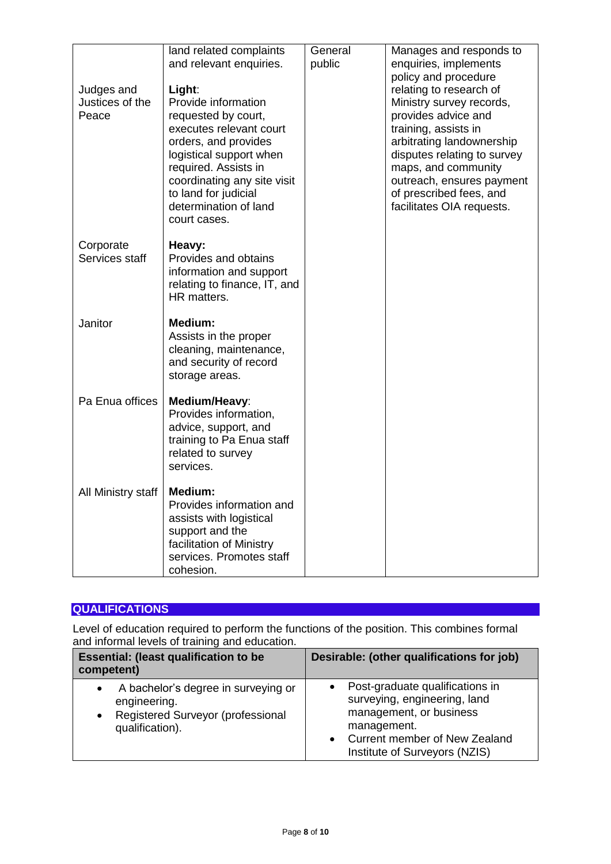|                               | land related complaints                                                                                                                                                                                                   | General | Manages and responds to                                                                                                                                                                                             |
|-------------------------------|---------------------------------------------------------------------------------------------------------------------------------------------------------------------------------------------------------------------------|---------|---------------------------------------------------------------------------------------------------------------------------------------------------------------------------------------------------------------------|
|                               | and relevant enquiries.                                                                                                                                                                                                   | public  | enquiries, implements<br>policy and procedure                                                                                                                                                                       |
| Judges and<br>Justices of the | Light:<br>Provide information                                                                                                                                                                                             |         | relating to research of<br>Ministry survey records,                                                                                                                                                                 |
| Peace                         | requested by court,<br>executes relevant court<br>orders, and provides<br>logistical support when<br>required. Assists in<br>coordinating any site visit<br>to land for judicial<br>determination of land<br>court cases. |         | provides advice and<br>training, assists in<br>arbitrating landownership<br>disputes relating to survey<br>maps, and community<br>outreach, ensures payment<br>of prescribed fees, and<br>facilitates OIA requests. |
| Corporate<br>Services staff   | Heavy:<br>Provides and obtains<br>information and support<br>relating to finance, IT, and<br>HR matters.                                                                                                                  |         |                                                                                                                                                                                                                     |
| Janitor                       | Medium:<br>Assists in the proper<br>cleaning, maintenance,<br>and security of record<br>storage areas.                                                                                                                    |         |                                                                                                                                                                                                                     |
| Pa Enua offices               | Medium/Heavy:<br>Provides information,<br>advice, support, and<br>training to Pa Enua staff<br>related to survey<br>services.                                                                                             |         |                                                                                                                                                                                                                     |
| All Ministry staff            | Medium:<br>Provides information and<br>assists with logistical<br>support and the<br>facilitation of Ministry<br>services. Promotes staff<br>cohesion.                                                                    |         |                                                                                                                                                                                                                     |

# **QUALIFICATIONS**

Level of education required to perform the functions of the position. This combines formal and informal levels of training and education.

| <b>Essential: (least qualification to be</b><br>competent)                                                                            | Desirable: (other qualifications for job)                                                                                                                                                |
|---------------------------------------------------------------------------------------------------------------------------------------|------------------------------------------------------------------------------------------------------------------------------------------------------------------------------------------|
| A bachelor's degree in surveying or<br>$\bullet$<br>engineering.<br>Registered Surveyor (professional<br>$\bullet$<br>qualification). | Post-graduate qualifications in<br>surveying, engineering, land<br>management, or business<br>management.<br>Current member of New Zealand<br>$\bullet$<br>Institute of Surveyors (NZIS) |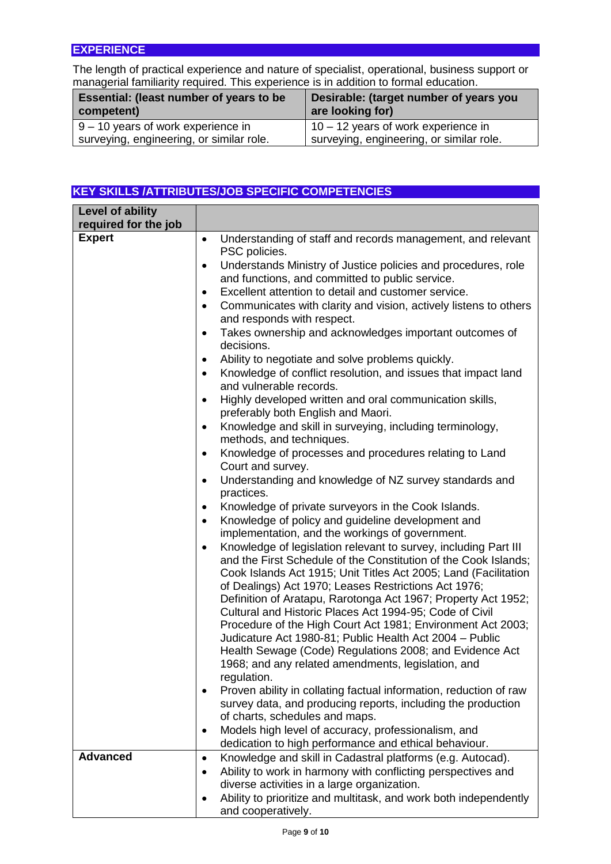### **EXPERIENCE**

The length of practical experience and nature of specialist, operational, business support or managerial familiarity required. This experience is in addition to formal education.

| Essential: (least number of years to be<br>competent) | Desirable: (target number of years you<br>are looking for) |
|-------------------------------------------------------|------------------------------------------------------------|
| $9 - 10$ years of work experience in                  | $10 - 12$ years of work experience in                      |
| surveying, engineering, or similar role.              | surveying, engineering, or similar role.                   |

## **KEY SKILLS /ATTRIBUTES/JOB SPECIFIC COMPETENCIES**

| Level of ability     |                                                                                                                                    |
|----------------------|------------------------------------------------------------------------------------------------------------------------------------|
| required for the job |                                                                                                                                    |
| <b>Expert</b>        | Understanding of staff and records management, and relevant<br>$\bullet$<br>PSC policies.                                          |
|                      | Understands Ministry of Justice policies and procedures, role<br>٠                                                                 |
|                      | and functions, and committed to public service.                                                                                    |
|                      | Excellent attention to detail and customer service.<br>$\bullet$                                                                   |
|                      | Communicates with clarity and vision, actively listens to others<br>$\bullet$                                                      |
|                      | and responds with respect.                                                                                                         |
|                      | Takes ownership and acknowledges important outcomes of<br>٠                                                                        |
|                      | decisions.                                                                                                                         |
|                      | Ability to negotiate and solve problems quickly.<br>$\bullet$                                                                      |
|                      | Knowledge of conflict resolution, and issues that impact land<br>$\bullet$<br>and vulnerable records.                              |
|                      | Highly developed written and oral communication skills,<br>$\bullet$<br>preferably both English and Maori.                         |
|                      | Knowledge and skill in surveying, including terminology,<br>٠<br>methods, and techniques.                                          |
|                      | Knowledge of processes and procedures relating to Land<br>٠<br>Court and survey.                                                   |
|                      | Understanding and knowledge of NZ survey standards and<br>٠                                                                        |
|                      | practices.                                                                                                                         |
|                      | Knowledge of private surveyors in the Cook Islands.<br>$\bullet$                                                                   |
|                      | Knowledge of policy and guideline development and<br>$\bullet$                                                                     |
|                      | implementation, and the workings of government.                                                                                    |
|                      | Knowledge of legislation relevant to survey, including Part III<br>$\bullet$                                                       |
|                      | and the First Schedule of the Constitution of the Cook Islands;<br>Cook Islands Act 1915; Unit Titles Act 2005; Land (Facilitation |
|                      | of Dealings) Act 1970; Leases Restrictions Act 1976;                                                                               |
|                      | Definition of Aratapu, Rarotonga Act 1967; Property Act 1952;                                                                      |
|                      | Cultural and Historic Places Act 1994-95; Code of Civil                                                                            |
|                      | Procedure of the High Court Act 1981; Environment Act 2003;                                                                        |
|                      | Judicature Act 1980-81; Public Health Act 2004 - Public                                                                            |
|                      | Health Sewage (Code) Regulations 2008; and Evidence Act                                                                            |
|                      | 1968; and any related amendments, legislation, and                                                                                 |
|                      | regulation.                                                                                                                        |
|                      | Proven ability in collating factual information, reduction of raw                                                                  |
|                      | survey data, and producing reports, including the production                                                                       |
|                      | of charts, schedules and maps.<br>Models high level of accuracy, professionalism, and                                              |
|                      | $\bullet$<br>dedication to high performance and ethical behaviour.                                                                 |
| <b>Advanced</b>      | Knowledge and skill in Cadastral platforms (e.g. Autocad).<br>$\bullet$                                                            |
|                      | Ability to work in harmony with conflicting perspectives and<br>$\bullet$                                                          |
|                      | diverse activities in a large organization.                                                                                        |
|                      | Ability to prioritize and multitask, and work both independently<br>$\bullet$                                                      |
|                      | and cooperatively.                                                                                                                 |